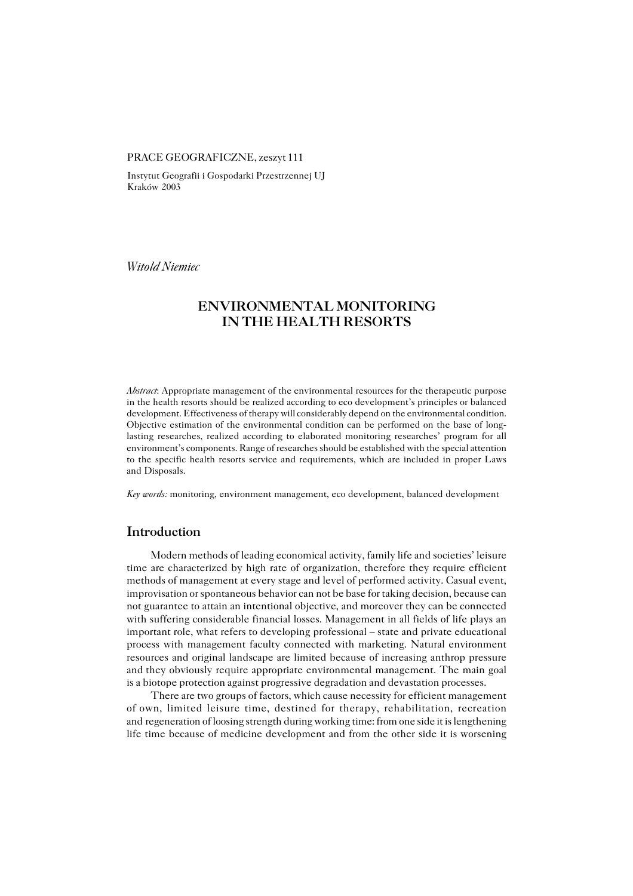## PRACE GEOGRAFICZNE, zeszyt 111

Instytut Geografii i Gospodarki Przestrzennej UJ Kraków 2003

*Witold Niemiec*

# **ENVIRONMENTAL MONITORING IN THE HEALTH RESORTS**

*Abstract*: Appropriate management of the environmental resources for the therapeutic purpose in the health resorts should be realized according to eco development's principles or balanced development. Effectiveness of therapy will considerably depend on the environmental condition. Objective estimation of the environmental condition can be performed on the base of long− lasting researches, realized according to elaborated monitoring researches' program for all environment's components. Range of researches should be established with the special attention to the specific health resorts service and requirements, which are included in proper Laws and Disposals.

*Key words:* monitoring, environment management, eco development, balanced development

## **Introduction**

Modern methods of leading economical activity, family life and societies' leisure time are characterized by high rate of organization, therefore they require efficient methods of management at every stage and level of performed activity. Casual event, improvisation or spontaneous behavior can not be base for taking decision, because can not guarantee to attain an intentional objective, and moreover they can be connected with suffering considerable financial losses. Management in all fields of life plays an important role, what refers to developing professional – state and private educational process with management faculty connected with marketing. Natural environment resources and original landscape are limited because of increasing anthrop pressure and they obviously require appropriate environmental management. The main goal is a biotope protection against progressive degradation and devastation processes.

There are two groups of factors, which cause necessity for efficient management of own, limited leisure time, destined for therapy, rehabilitation, recreation and regeneration of loosing strength during working time: from one side it is lengthening life time because of medicine development and from the other side it is worsening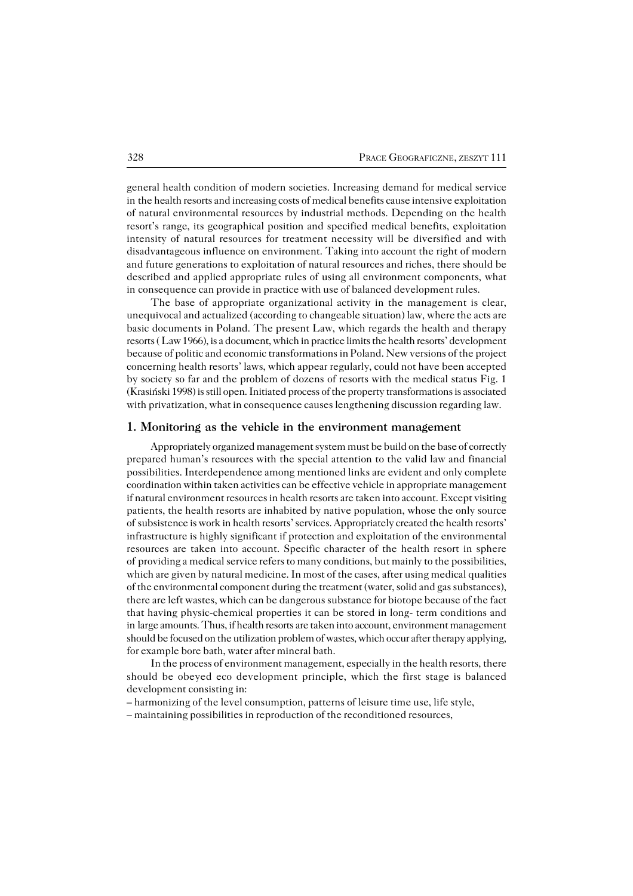general health condition of modern societies. Increasing demand for medical service inthe health resorts and increasing costs of medical benefits cause intensive exploitation of natural environmental resources by industrial methods. Depending on the health resort's range, its geographical position and specified medical benefits, exploitation intensity of natural resources for treatment necessity will be diversified and with disadvantageous influence on environment. Taking into account the right of modern and future generations to exploitation of natural resources and riches, there should be described and applied appropriate rules of using all environment components, what in consequence can provide in practice with use of balanced development rules.

The base of appropriate organizational activity in the management is clear, unequivocal and actualized (according to changeable situation) law, where the acts are basic documents in Poland. The present Law, which regards the health and therapy resorts ( Law 1966), is a document, which in practice limits the health resorts' development because of politic and economic transformations in Poland. New versions of the project concerning health resorts' laws, which appear regularly, could not have been accepted by society so far and the problem of dozens of resorts with the medical status Fig. 1 (Krasiński 1998) is still open. Initiated process of the property transformations is associated with privatization, what in consequence causes lengthening discussion regarding law.

#### **1. Monitoring as the vehicle in the environment management**

Appropriately organized management system must be build on the base of correctly prepared human's resources with the special attention to the valid law and financial possibilities. Interdependence among mentioned links are evident and only complete coordination within taken activities can be effective vehicle in appropriate management if natural environment resources in health resorts are taken into account. Except visiting patients, the health resorts are inhabited by native population, whose the only source of subsistence is work in health resorts' services. Appropriately created the health resorts' infrastructure is highly significant if protection and exploitation of the environmental resources are taken into account. Specific character of the health resort in sphere of providing a medical service refers to many conditions, but mainly to the possibilities, which are given by natural medicine. In most of the cases, after using medical qualities of the environmental component during the treatment (water, solid and gas substances), there are left wastes, which can be dangerous substance for biotope because of the fact that having physic−chemical properties it can be stored in long− term conditions and in large amounts. Thus, if health resorts are taken into account, environment management should be focused on the utilization problem of wastes, which occur after therapy applying, for example bore bath, water after mineral bath.

In the process of environment management, especially in the health resorts, there should be obeyed eco development principle, which the first stage is balanced development consisting in:

– harmonizing of the level consumption, patterns of leisure time use, life style,

– maintaining possibilities in reproduction of the reconditioned resources,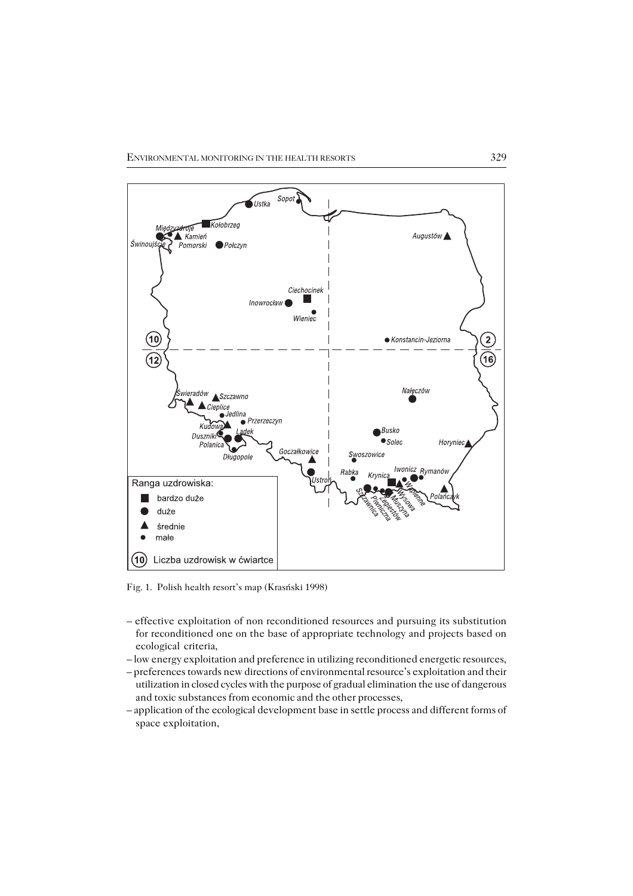

Fig. 1. Polish health resort's map (Krasński 1998)

- effective exploitation of non reconditioned resources and pursuing its substitution for reconditioned one on the base of appropriate technology and projects based on ecological criteria,
- low energy exploitation and preference in utilizing reconditioned energetic resources,
- preferences towards new directions of environmental resource's exploitation and their utilization in closed cycles with the purpose of gradual elimination the use of dangerous and toxic substances from economic and the other processes,
- application of the ecological development base in settle process and different forms of space exploitation,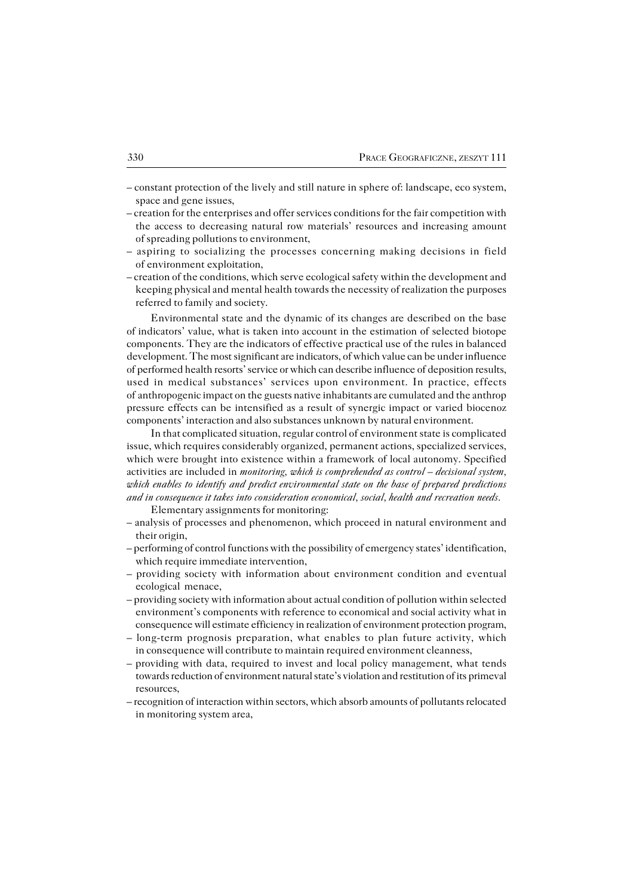- constant protection of the lively and still nature in sphere of: landscape, eco system, space and gene issues,
- creation for the enterprises and offer services conditions for the fair competition with the access to decreasing natural row materials' resources and increasing amount of spreading pollutions to environment,
- aspiring to socializing the processes concerning making decisions in field of environment exploitation,
- creation of the conditions, which serve ecological safety within the development and keeping physical and mental health towards the necessity of realization the purposes referred to family and society.

Environmental state and the dynamic of its changes are described on the base ofindicators' value, what is taken into account in the estimation of selected biotope components. They are the indicators of effective practical use of the rules in balanced development. The most significant are indicators, of which value can be under influence of performed health resorts' service or which can describe influence of deposition results, used in medical substances' services upon environment. In practice, effects ofanthropogenic impact on the guests native inhabitants are cumulated and the anthrop pressure effects can be intensified as a result of synergic impact or varied biocenoz components' interaction and also substances unknown by natural environment.

In that complicated situation, regular control of environment state is complicated issue, which requires considerably organized, permanent actions, specialized services, which were brought into existence within a framework of local autonomy. Specified activities are included in *monitoring, which is comprehended as control – decisional system, which enables to identify and predict environmental state on the base of prepared predictions and in consequence it takes into consideration economical, social, health and recreation needs.*

Elementary assignments for monitoring:

- analysis of processes and phenomenon, which proceed in natural environment and their origin,
- performing of control functions with the possibility of emergency states' identification, which require immediate intervention,
- providing society with information about environment condition and eventual ecological menace,
- providing society with information about actual condition of pollution within selected environment's components with reference to economical and social activity what in consequence will estimate efficiency in realization of environment protection program,
- long−term prognosis preparation, what enables to plan future activity, which in consequence will contribute to maintain required environment cleanness,
- providing with data, required to invest and local policy management, what tends towards reduction of environment natural state's violation and restitution of its primeval resources,
- recognition of interaction within sectors, which absorb amounts of pollutants relocated in monitoring system area,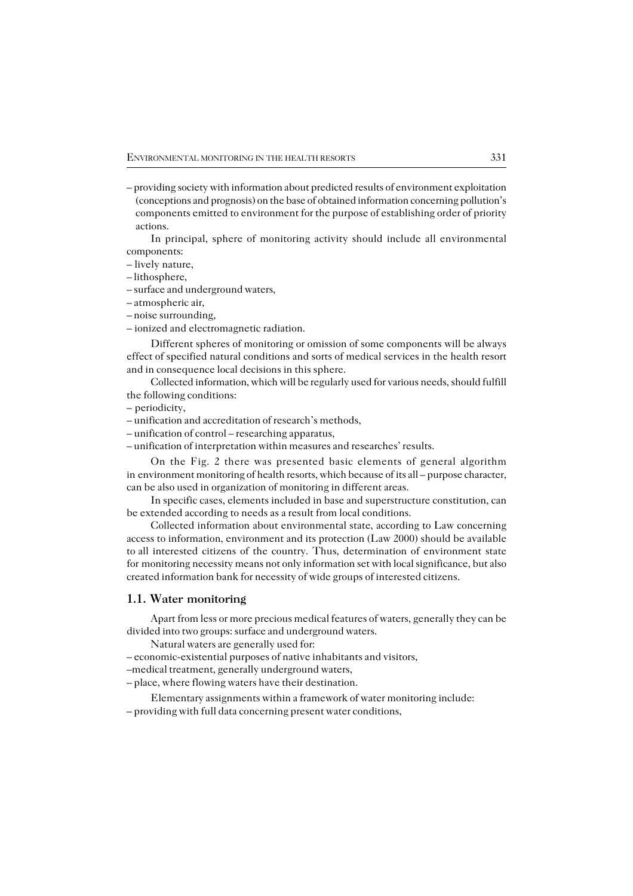– providing society with information about predicted results of environment exploitation (conceptions and prognosis) on the base of obtained information concerning pollution's components emitted to environment for the purpose of establishing order of priority actions.

In principal, sphere of monitoring activity should include all environmental components:

– lively nature,

– lithosphere,

– surface and underground waters,

– atmospheric air,

– noise surrounding,

– ionized and electromagnetic radiation.

Different spheres of monitoring or omission of some components will be always effect of specified natural conditions and sorts of medical services in the health resort and in consequence local decisions in this sphere.

Collected information, which will be regularly used for various needs, should fulfill the following conditions:

– periodicity,

– unification and accreditation of research's methods,

– unification of control – researching apparatus,

– unification of interpretation within measures and researches' results.

On the Fig. 2 there was presented basic elements of general algorithm in environment monitoring of health resorts, which because of its all – purpose character, can be also used in organization of monitoring in different areas.

In specific cases, elements included in base and superstructure constitution, can be extended according to needs as a result from local conditions.

Collected information about environmental state, according to Law concerning access to information, environment and its protection (Law 2000) should be available toall interested citizens of the country. Thus, determination of environment state for monitoring necessity means not only information set with local significance, but also created information bank for necessity of wide groups of interested citizens.

### **1.1. Water monitoring**

Apart from less or more precious medical features of waters, generally they can be divided into two groups: surface and underground waters.

Natural waters are generally used for:

– economic−existential purposes of native inhabitants and visitors,

–medical treatment, generally underground waters,

– place, where flowing waters have their destination.

Elementary assignments within a framework of water monitoring include: – providing with full data concerning present water conditions,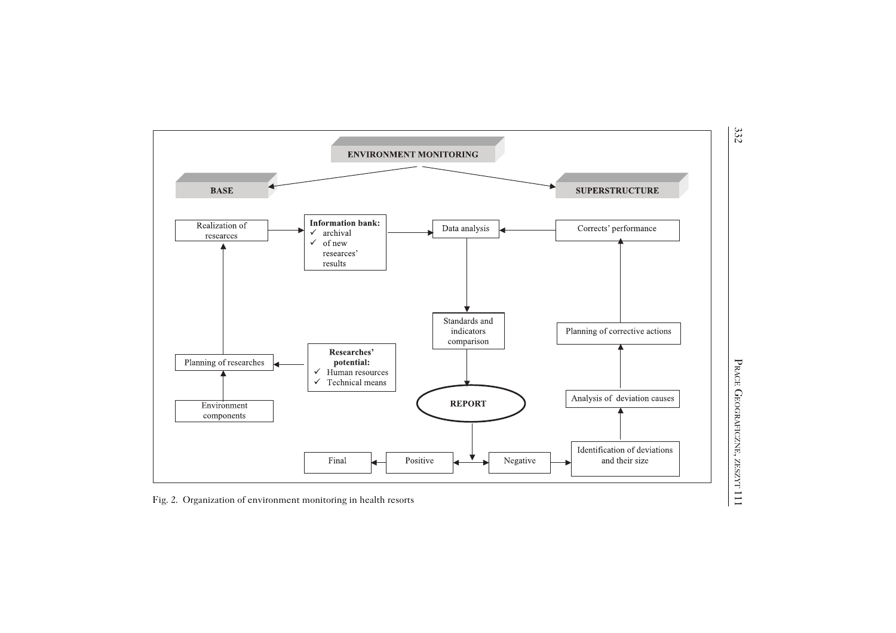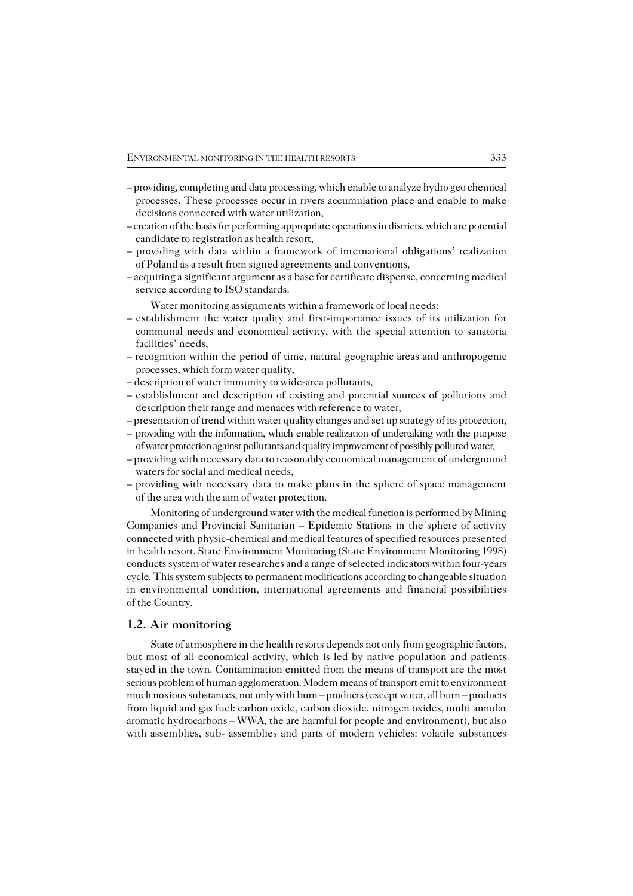- providing, completing and data processing, which enable to analyze hydro geo chemical processes. These processes occur in rivers accumulation place and enable to make decisions connected with water utilization,
- creation of the basis for performing appropriate operations in districts, which are potential candidate to registration as health resort,
- providing with data within a framework of international obligations' realization of Poland as a result from signed agreements and conventions,
- acquiring a significant argument as a base for certificate dispense, concerning medical service according to ISO standards.

Water monitoring assignments within a framework of local needs:

- establishment the water quality and first−importance issues of its utilization for communal needs and economical activity, with the special attention to sanatoria facilities' needs,
- recognition within the period of time, natural geographic areas and anthropogenic processes, which form water quality,
- description of water immunity to wide−area pollutants,
- establishment and description of existing and potential sources of pollutions and description their range and menaces with reference to water,
- presentation of trend within water quality changes and set up strategy of its protection,
- providing with the information, which enable realization of undertaking with the purpose of water protection against pollutants and quality improvement of possibly polluted water,
- providing with necessary data to reasonably economical management of underground waters for social and medical needs,
- providing with necessary data to make plans in the sphere of space management of the area with the aim of water protection.

Monitoring of underground water with the medical function is performed by Mining Companies and Provincial Sanitarian – Epidemic Stations in the sphere of activity connected with physic−chemical and medical features of specified resources presented in health resort. State Environment Monitoring (State Environment Monitoring 1998) conducts system of water researches and a range of selected indicators within four−years cycle. This system subjects to permanent modifications according to changeable situation in environmental condition, international agreements and financial possibilities of the Country.

## **1.2. Air monitoring**

State of atmosphere in the health resorts depends not only from geographic factors, but most of all economical activity, which is led by native population and patients stayed in the town. Contamination emitted from the means of transport are the most serious problem of human agglomeration. Modern means of transport emit to environment much noxious substances, not only with burn – products (except water, all burn – products from liquid and gas fuel: carbon oxide, carbon dioxide, nitrogen oxides, multi annular aromatic hydrocarbons – WWA, the are harmful for people and environment), but also with assemblies, sub− assemblies and parts of modern vehicles: volatile substances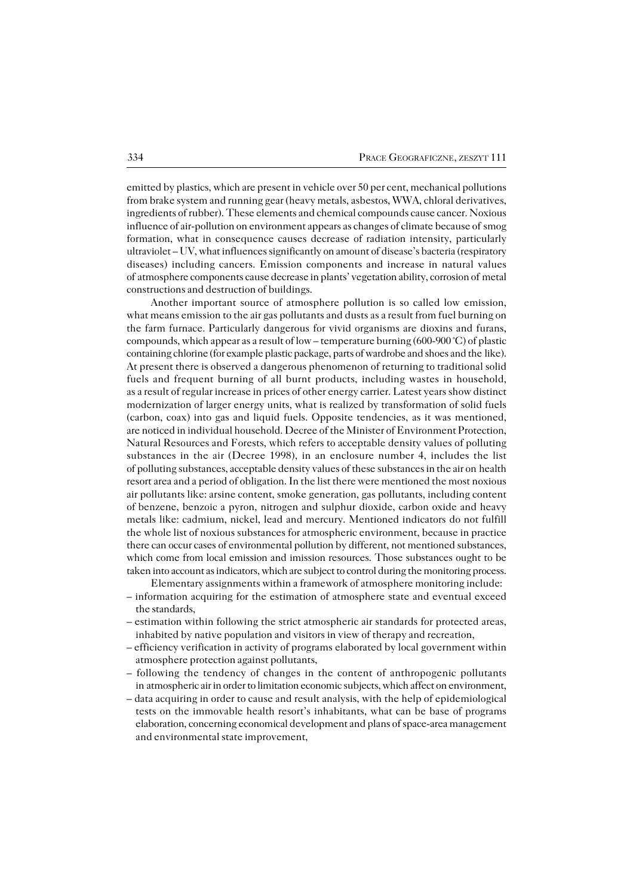emitted by plastics, which are present in vehicle over 50 per cent, mechanical pollutions from brake system and running gear (heavy metals, asbestos, WWA, chloral derivatives, ingredients of rubber). These elements and chemical compounds cause cancer. Noxious influence of air−pollution on environment appears as changes of climate because ofsmog formation, what in consequence causes decrease of radiation intensity, particularly ultraviolet – UV, what influences significantly on amount of disease's bacteria (respiratory diseases) including cancers. Emission components and increase in natural values of atmosphere components cause decrease in plants' vegetation ability, corrosion of metal constructions and destruction of buildings.

Another important source of atmosphere pollution is so called low emission, what means emission to the air gas pollutants and dusts as a result from fuel burning on the farm furnace. Particularly dangerous for vivid organisms are dioxins and furans, compounds, which appear as a result of low – temperature burning (600−900 °C) of plastic containing chlorine (for example plastic package, parts of wardrobe and shoes and the like). At present there is observed a dangerous phenomenon of returning to traditional solid fuels and frequent burning of all burnt products, including wastes in household, as a result of regular increase in prices of other energy carrier. Latest years show distinct modernization of larger energy units, what is realized by transformation of solid fuels (carbon, coax) into gas and liquid fuels. Opposite tendencies, as it was mentioned, are noticed in individual household. Decree of the Minister of Environment Protection, Natural Resources and Forests, which refers to acceptable density values of polluting substances in the air (Decree 1998), in an enclosure number 4, includes the list of polluting substances, acceptable density values of these substances in the air onhealth resort area and a period of obligation. In the list there were mentioned the most noxious air pollutants like: arsine content, smoke generation, gas pollutants, including content ofbenzene, benzoic a pyron, nitrogen and sulphur dioxide, carbon oxide and heavy metals like: cadmium, nickel, lead and mercury. Mentioned indicators do not fulfill the whole list of noxious substances for atmospheric environment, because in practice there can occur cases of environmental pollution by different, not mentioned substances, which come from local emission and imission resources. Those substances ought to be taken into account as indicators, which are subject to control during the monitoring process.

Elementary assignments within a framework of atmosphere monitoring include: – information acquiring for the estimation of atmosphere state and eventual exceed the standards,

- estimation within following the strict atmospheric air standards for protected areas, inhabited by native population and visitors in view of therapy and recreation,
- efficiency verification in activity of programs elaborated by local government within atmosphere protection against pollutants,
- following the tendency of changes in the content of anthropogenic pollutants in atmospheric air in order to limitation economic subjects, which affect on environment,
- data acquiring in order to cause and result analysis, with the help of epidemiological tests on the immovable health resort's inhabitants, what can be base of programs elaboration, concerning economical development and plans of space−area management and environmental state improvement,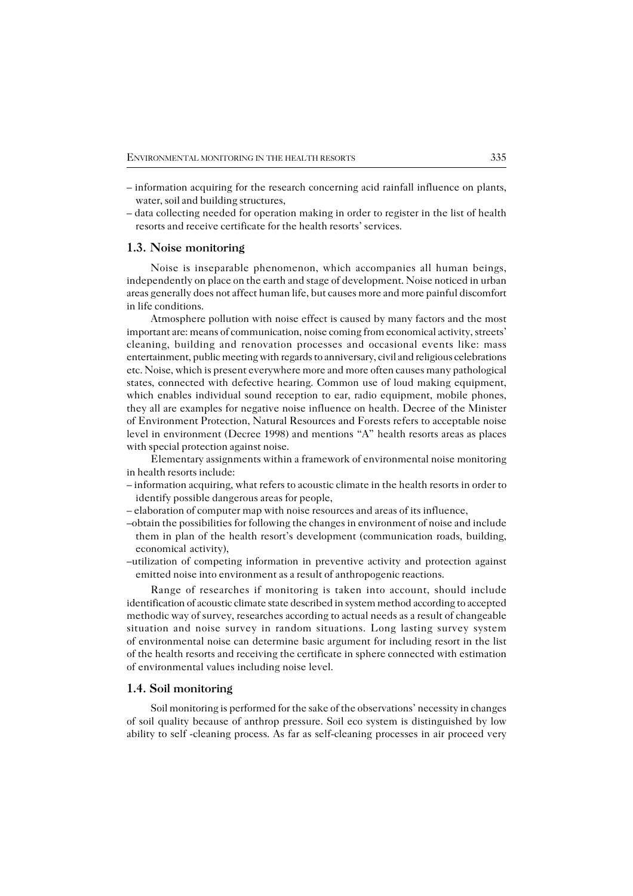- information acquiring for the research concerning acid rainfall influence on plants, water, soil and building structures,
- data collecting needed for operation making in order to register in the list of health resorts and receive certificate for the health resorts' services.

#### **1.3. Noise monitoring**

Noise is inseparable phenomenon, which accompanies all human beings, independently on place on the earth and stage of development. Noise noticed in urban areas generally does not affect human life, but causes more and more painful discomfort in life conditions.

Atmosphere pollution with noise effect is caused by many factors and the most important are: means of communication, noise coming from economical activity, streets' cleaning, building and renovation processes and occasional events like: mass entertainment, public meeting with regards to anniversary, civil and religious celebrations etc. Noise, which is present everywhere more and more often causes many pathological states, connected with defective hearing. Common use of loud making equipment, which enables individual sound reception to ear, radio equipment, mobile phones, they all are examples for negative noise influence on health. Decree of the Minister of Environment Protection, Natural Resources and Forests refers to acceptable noise level in environment (Decree 1998) and mentions "A" health resorts areas as places with special protection against noise.

Elementary assignments within a framework of environmental noise monitoring in health resorts include:

- information acquiring, what refers to acoustic climate in the health resorts in order to identify possible dangerous areas for people,
- elaboration of computer map with noise resources and areas of its influence,
- –obtain the possibilities for following the changes in environment of noise and include them in plan of the health resort's development (communication roads, building, economical activity),
- –utilization of competing information in preventive activity and protection against emitted noise into environment as a result of anthropogenic reactions.

Range of researches if monitoring is taken into account, should include identification of acoustic climate state described in system method according to accepted methodic way of survey, researches according to actual needs as a result of changeable situation and noise survey in random situations. Long lasting survey system of environmental noise can determine basic argument for including resort in the list of the health resorts and receiving the certificate in sphere connected with estimation of environmental values including noise level.

#### **1.4. Soil monitoring**

Soil monitoring is performed for the sake of the observations' necessity in changes of soil quality because of anthrop pressure. Soil eco system is distinguished by low ability to self −cleaning process. As far as self−cleaning processes in air proceed very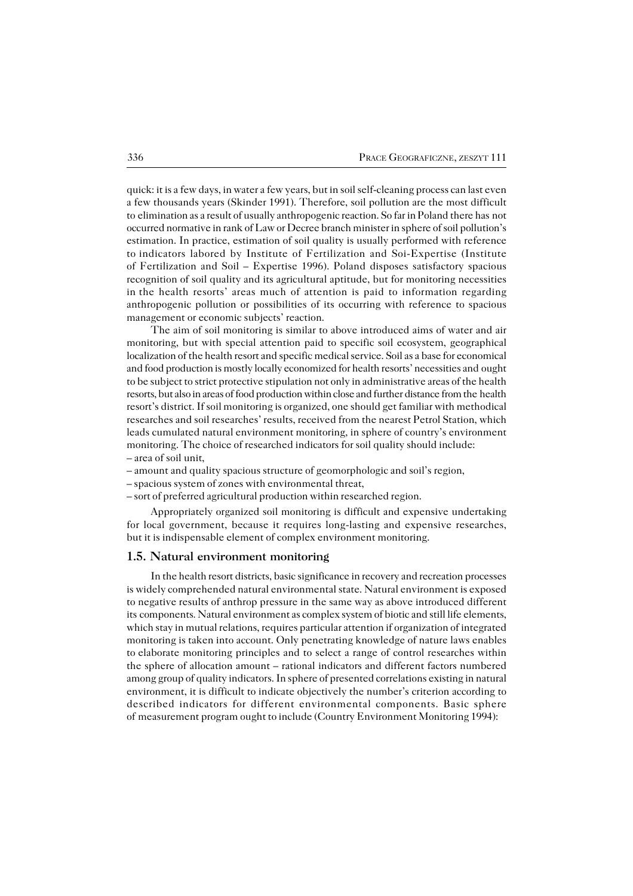quick: it is a few days, in water a few years, but in soil self−cleaning process can last even a few thousands years (Skinder 1991). Therefore, soil pollution are the most difficult to elimination as a result of usually anthropogenic reaction. So far in Poland there has not occurred normative in rank of Law or Decree branch minister in sphere of soil pollution's estimation. In practice, estimation of soil quality is usually performed with reference toindicators labored by Institute of Fertilization and Soi−Expertise (Institute of Fertilization and Soil – Expertise 1996). Poland disposes satisfactory spacious recognition of soil quality and its agricultural aptitude, but for monitoring necessities inthe health resorts' areas much of attention is paid to information regarding anthropogenic pollution or possibilities of its occurring with reference to spacious management or economic subjects' reaction.

The aim of soil monitoring is similar to above introduced aims of water and air monitoring, but with special attention paid to specific soil ecosystem, geographical localization of the health resort and specific medical service. Soil as a base for economical and food production is mostly locally economized for health resorts' necessities andought to be subject to strict protective stipulation not only in administrative areas of the health resorts, but also in areas of food production within close and further distance from the health resort's district. If soil monitoring is organized, one should get familiar with methodical researches and soil researches' results, received from the nearest Petrol Station, which leads cumulated natural environment monitoring, in sphere of country's environment monitoring. The choice of researched indicators for soil quality should include: – area of soil unit,

- amount and quality spacious structure of geomorphologic and soil's region,
- spacious system of zones with environmental threat,
- sort of preferred agricultural production within researched region.

Appropriately organized soil monitoring is difficult and expensive undertaking for local government, because it requires long−lasting and expensive researches, but it is indispensable element of complex environment monitoring.

#### **1.5. Natural environment monitoring**

In the health resort districts, basic significance in recovery and recreation processes is widely comprehended natural environmental state. Natural environment is exposed to negative results of anthrop pressure in the same way as above introduced different its components. Natural environment as complex system of biotic and still life elements, which stay in mutual relations, requires particular attention if organization of integrated monitoring is taken into account. Only penetrating knowledge of nature laws enables to elaborate monitoring principles and to select a range of control researches within the sphere of allocation amount – rational indicators and different factors numbered among group of quality indicators. In sphere of presented correlations existing in natural environment, it is difficult to indicate objectively the number's criterion according to described indicators for different environmental components. Basic sphere of measurement program ought to include (Country Environment Monitoring 1994):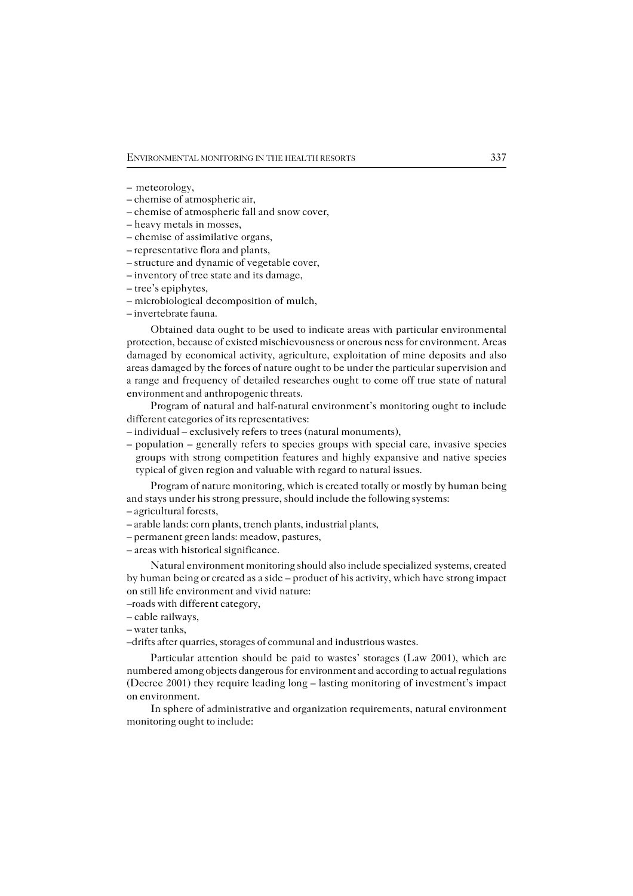- meteorology,
- chemise of atmospheric air,
- chemise of atmospheric fall and snow cover,
- heavy metals in mosses,
- chemise of assimilative organs,
- representative flora and plants,
- structure and dynamic of vegetable cover,
- inventory of tree state and its damage,
- tree's epiphytes,
- microbiological decomposition of mulch,
- invertebrate fauna.

Obtained data ought to be used to indicate areas with particular environmental protection, because of existed mischievousness or onerous ness for environment. Areas damaged by economical activity, agriculture, exploitation of mine deposits and also areas damaged by the forces of nature ought to be under the particular supervision and a range and frequency of detailed researches ought to come off true state of natural environment and anthropogenic threats.

Program of natural and half−natural environment's monitoring ought to include different categories of its representatives:

- individual exclusively refers to trees (natural monuments),
- population generally refers to species groups with special care, invasive species groups with strong competition features and highly expansive and native species typical of given region and valuable with regard to natural issues.

Program of nature monitoring, which is created totally or mostly by human being and stays under his strong pressure, should include the following systems:

- agricultural forests,
- arable lands: corn plants, trench plants, industrial plants,
- permanent green lands: meadow, pastures,
- areas with historical significance.

Natural environment monitoring should also include specialized systems, created by human being or created as a side – product of his activity, which have strong impact on still life environment and vivid nature:

- –roads with different category,
- cable railways,
- water tanks,
- –drifts after quarries, storages of communal and industrious wastes.

Particular attention should be paid to wastes' storages (Law 2001), which are numbered among objects dangerous for environment and according to actual regulations (Decree 2001) they require leading long – lasting monitoring of investment's impact on environment.

In sphere of administrative and organization requirements, natural environment monitoring ought to include: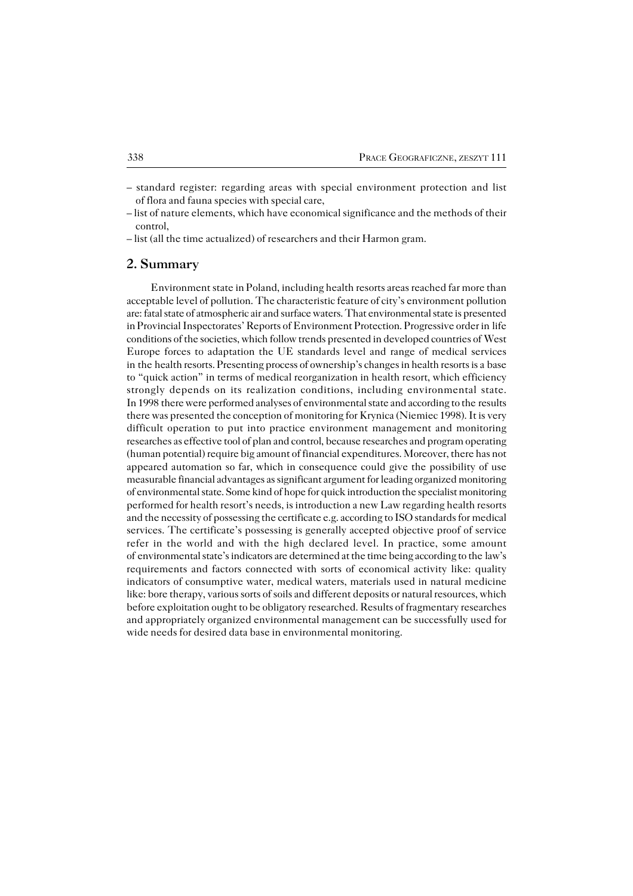– standard register: regarding areas with special environment protection and list of flora and fauna species with special care,

## **2. Summary**

Environment state in Poland, including health resorts areas reached far more than acceptable level of pollution. The characteristic feature of city's environment pollution are: fatal state of atmospheric air and surface waters. That environmental state is presented in Provincial Inspectorates' Reports of Environment Protection. Progressive order in life conditions of the societies, which follow trends presented in developed countries ofWest Europe forces to adaptation the UE standards level and range of medical services in the health resorts. Presenting process of ownership's changes in health resorts is a base to "quick action" in terms of medical reorganization in health resort, which efficiency strongly depends on its realization conditions, including environmental state. In 1998 there were performed analyses of environmental state and according to the results there was presented the conception of monitoring for Krynica (Niemiec 1998). It is very difficult operation to put into practice environment management and monitoring researches as effective tool of plan and control, because researches and program operating (human potential) require big amount of financial expenditures. Moreover, there has not appeared automation so far, which in consequence could give the possibility of use measurable financial advantages as significant argument for leading organized monitoring of environmental state. Some kind of hope for quick introduction the specialist monitoring performed for health resort's needs, is introduction a new Law regarding health resorts and the necessity of possessing the certificate e.g. according to ISO standards for medical services. The certificate's possessing is generally accepted objective proof of service refer in the world and with the high declared level. In practice, some amount ofenvironmental state's indicators are determined at the time being according to thelaw's requirements and factors connected with sorts of economical activity like: quality indicators of consumptive water, medical waters, materials used in natural medicine like: bore therapy, various sorts of soils and different deposits or natural resources, which before exploitation ought to be obligatory researched. Results of fragmentary researches and appropriately organized environmental management can be successfully used for wide needs for desired data base in environmental monitoring.

<sup>–</sup> list of nature elements, which have economical significance and the methods of their control,

<sup>–</sup> list (all the time actualized) of researchers and their Harmon gram.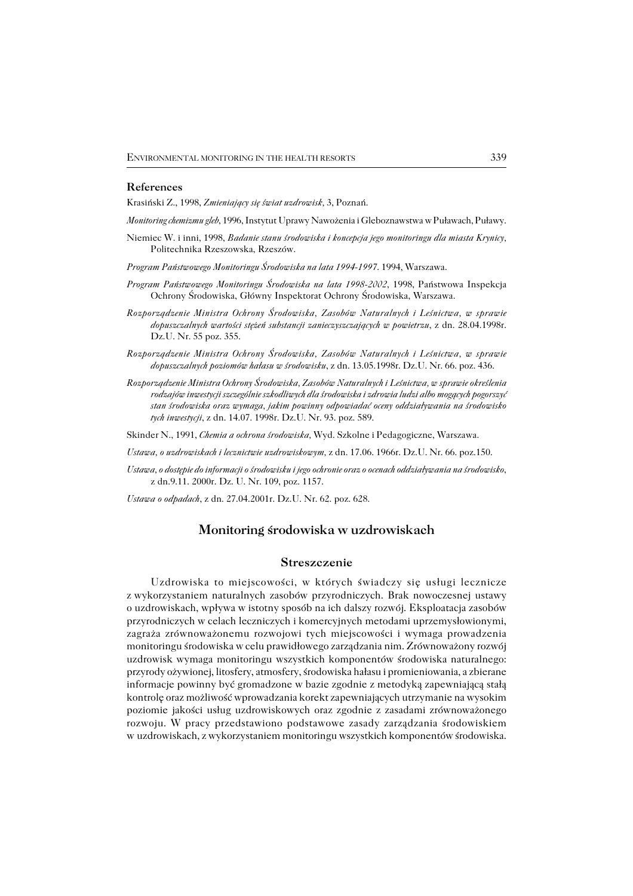#### **References**

Krasiński Z., 1998, *Zmieniający się świat uzdrowisk,* 3, Poznań.

*Monitoring chemizmu gleb*, 1996, Instytut Uprawy Nawożenia i Gleboznawstwa w Puławach, Puławy.

- Niemiec W. i inni, 1998, *Badanie stanu środowiska i koncepcja jego monitoringu dla miasta Krynicy,* Politechnika Rzeszowska, Rzeszów.
- *Program Państwowego Monitoringu Środowiska na lata 1994−1997*. 1994, Warszawa.
- *Program Państwowego Monitoringu Środowiska na lata 1998−2002*, 1998, Państwowa Inspekcja Ochrony Środowiska, Główny Inspektorat Ochrony Środowiska, Warszawa.
- *Rozporządzenie Ministra Ochrony Środowiska, Zasobów Naturalnych i Leśnictwa, w sprawie dopuszczalnych wartości stężeń substancji zanieczyszczających w powietrzu*, z dn. 28.04.1998r. Dz.U. Nr. 55 poz. 355.
- *Rozporządzenie Ministra Ochrony Środowiska, Zasobów Naturalnych i Leśnictwa, w sprawie dopuszczalnych poziomów hałasu w środowisku*, z dn. 13.05.1998r. Dz.U. Nr. 66. poz. 436.
- *Rozporządzenie Ministra Ochrony Środowiska, Zasobów Naturalnych iLeśnictwa, w sprawie określenia rodzajów inwestycji szczególnie szkodliwych dla środowiska i zdrowia ludzi albo mogących pogorszyć stan środowiska oraz wymaga, jakim powinny odpowiadać oceny oddziaływania na środowisko tych inwestycji*, z dn. 14.07. 1998r. Dz.U. Nr. 93. poz. 589.

Skinder N., 1991, *Chemia a ochrona środowiska,* Wyd. Szkolne i Pedagogiczne, Warszawa.

*Ustawa, o uzdrowiskach i lecznictwie uzdrowiskowym,* z dn. 17.06. 1966r. Dz.U. Nr. 66. poz.150.

*Ustawa, o dostępie do informacji o środowisku i jego ochronie oraz o ocenach oddziaływania na środowisko*, z dn.9.11. 2000r. Dz. U. Nr. 109, poz. 1157.

*Ustawa o odpadach*, z dn. 27.04.2001r. Dz.U. Nr. 62. poz. 628.

## **Monitoring środowiska w uzdrowiskach**

#### **Streszczenie**

Uzdrowiska to miejscowości, w których świadczy się usługi lecznicze zwykorzystaniem naturalnych zasobów przyrodniczych. Brak nowoczesnej ustawy ouzdrowiskach, wpływa w istotny sposób na ich dalszy rozwój. Eksploatacja zasobów przyrodniczych w celach leczniczych i komercyjnych metodami uprzemysłowionymi, zagraża zrównoważonemu rozwojowi tych miejscowości i wymaga prowadzenia monitoringu środowiska w celu prawidłowego zarządzania nim. Zrównoważony rozwój uzdrowisk wymaga monitoringu wszystkich komponentów środowiska naturalnego: przyrody ożywionej, litosfery, atmosfery, środowiska hałasu i promieniowania, a zbierane informacje powinny być gromadzone w bazie zgodnie z metodyką zapewniającą stałą kontrolę oraz możliwość wprowadzania korekt zapewniających utrzymanie na wysokim poziomie jakości usług uzdrowiskowych oraz zgodnie z zasadami zrównoważonego rozwoju. W pracy przedstawiono podstawowe zasady zarządzania środowiskiem wuzdrowiskach, z wykorzystaniem monitoringu wszystkich komponentów środowiska.